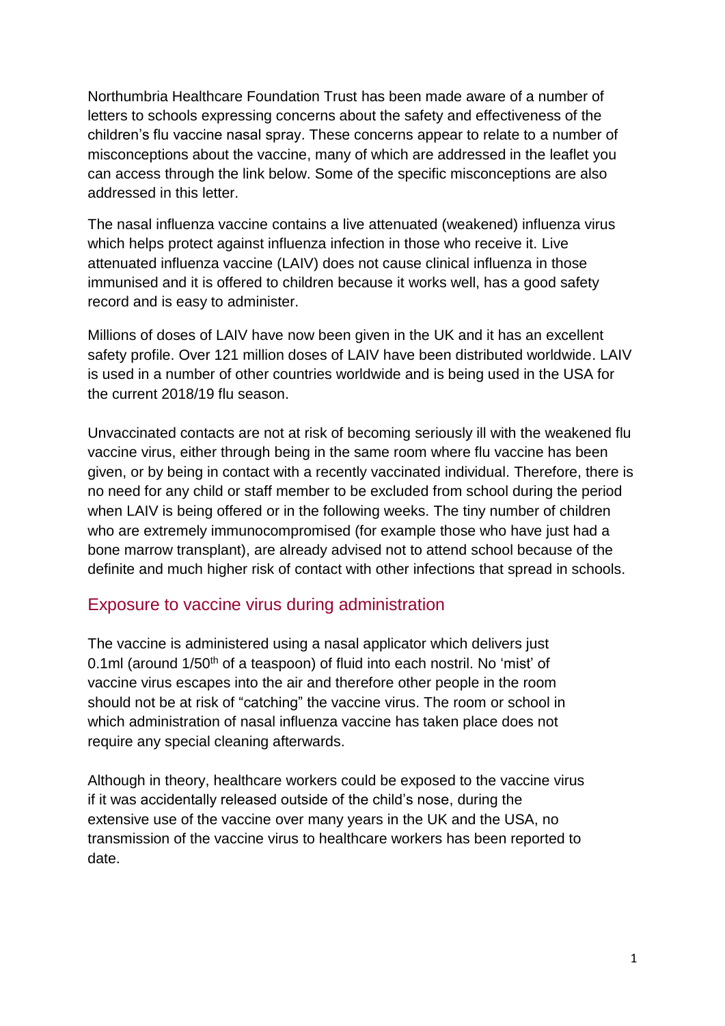Northumbria Healthcare Foundation Trust has been made aware of a number of letters to schools expressing concerns about the safety and effectiveness of the children's flu vaccine nasal spray. These concerns appear to relate to a number of misconceptions about the vaccine, many of which are addressed in the leaflet you can access through the link below. Some of the specific misconceptions are also addressed in this letter.

The nasal influenza vaccine contains a live attenuated (weakened) influenza virus which helps protect against influenza infection in those who receive it. Live attenuated influenza vaccine (LAIV) does not cause clinical influenza in those immunised and it is offered to children because it works well, has a good safety record and is easy to administer.

Millions of doses of LAIV have now been given in the UK and it has an excellent safety profile. Over 121 million doses of LAIV have been distributed worldwide. LAIV is used in a number of other countries worldwide and is being used in the USA for the current 2018/19 flu season.

Unvaccinated contacts are not at risk of becoming seriously ill with the weakened flu vaccine virus, either through being in the same room where flu vaccine has been given, or by being in contact with a recently vaccinated individual. Therefore, there is no need for any child or staff member to be excluded from school during the period when LAIV is being offered or in the following weeks. The tiny number of children who are extremely immunocompromised (for example those who have just had a bone marrow transplant), are already advised not to attend school because of the definite and much higher risk of contact with other infections that spread in schools.

#### Exposure to vaccine virus during administration

The vaccine is administered using a nasal applicator which delivers just 0.1ml (around 1/50<sup>th</sup> of a teaspoon) of fluid into each nostril. No 'mist' of vaccine virus escapes into the air and therefore other people in the room should not be at risk of "catching" the vaccine virus. The room or school in which administration of nasal influenza vaccine has taken place does not require any special cleaning afterwards.

Although in theory, healthcare workers could be exposed to the vaccine virus if it was accidentally released outside of the child's nose, during the extensive use of the vaccine over many years in the UK and the USA, no transmission of the vaccine virus to healthcare workers has been reported to date.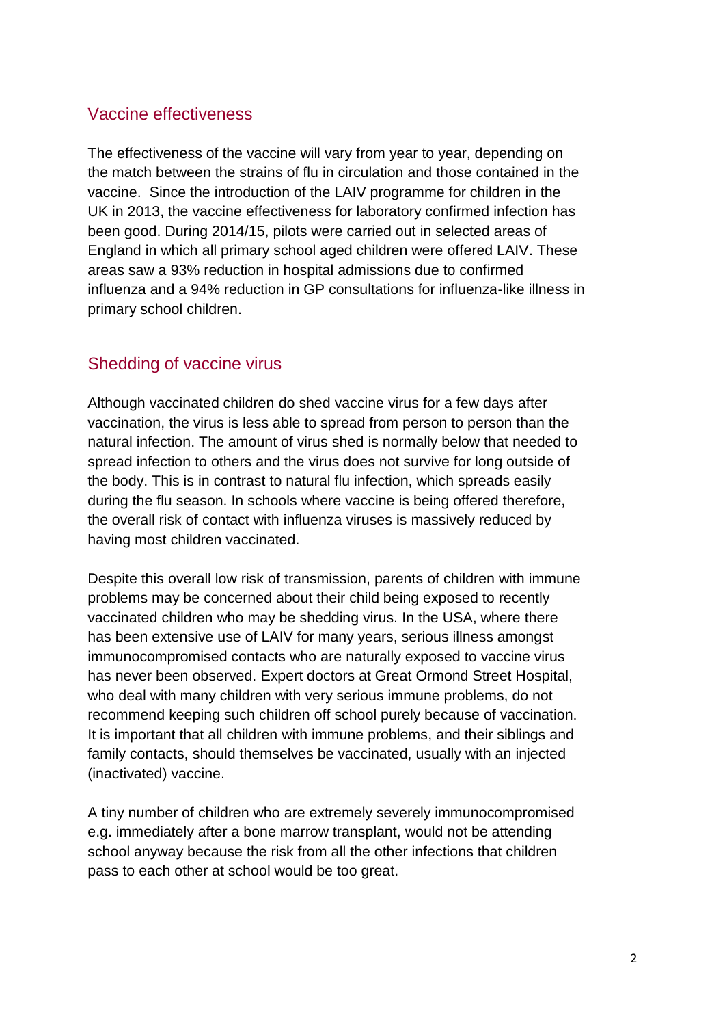#### Vaccine effectiveness

The effectiveness of the vaccine will vary from year to year, depending on the match between the strains of flu in circulation and those contained in the vaccine. Since the introduction of the LAIV programme for children in the UK in 2013, the vaccine effectiveness for laboratory confirmed infection has been good. During 2014/15, pilots were carried out in selected areas of England in which all primary school aged children were offered LAIV. These areas saw a 93% reduction in hospital admissions due to confirmed influenza and a 94% reduction in GP consultations for influenza-like illness in primary school children.

### Shedding of vaccine virus

Although vaccinated children do shed vaccine virus for a few days after vaccination, the virus is less able to spread from person to person than the natural infection. The amount of virus shed is normally below that needed to spread infection to others and the virus does not survive for long outside of the body. This is in contrast to natural flu infection, which spreads easily during the flu season. In schools where vaccine is being offered therefore, the overall risk of contact with influenza viruses is massively reduced by having most children vaccinated.

Despite this overall low risk of transmission, parents of children with immune problems may be concerned about their child being exposed to recently vaccinated children who may be shedding virus. In the USA, where there has been extensive use of LAIV for many years, serious illness amongst immunocompromised contacts who are naturally exposed to vaccine virus has never been observed. Expert doctors at Great Ormond Street Hospital, who deal with many children with very serious immune problems, do not recommend keeping such children off school purely because of vaccination. It is important that all children with immune problems, and their siblings and family contacts, should themselves be vaccinated, usually with an injected (inactivated) vaccine.

A tiny number of children who are extremely severely immunocompromised e.g. immediately after a bone marrow transplant, would not be attending school anyway because the risk from all the other infections that children pass to each other at school would be too great.